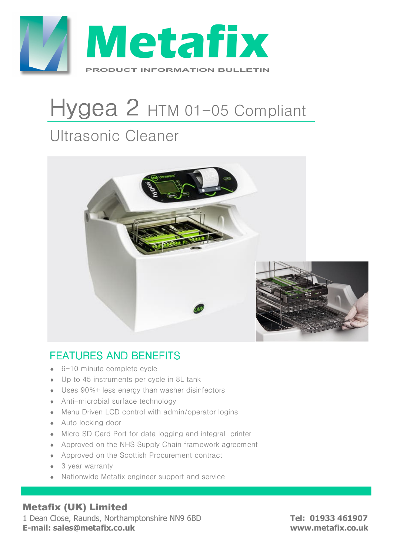

# Hygea 2 HTM 01-05 Compliant

## Ultrasonic Cleaner



#### FFATURES AND BENEFITS

- ♦ 6-10 minute complete cycle
- ♦ Up to 45 instruments per cycle in 8L tank
- ♦ Uses 90%+ less energy than washer disinfectors
- ♦ Anti-microbial surface technology
- ♦ Menu Driven LCD control with admin/operator logins
- ♦ Auto locking door
- ♦ Micro SD Card Port for data logging and integral printer
- ♦ Approved on the NHS Supply Chain framework agreement
- ♦ Approved on the Scottish Procurement contract
- $\bullet$  3 year warranty
- ♦ Nationwide Metafix engineer support and service

#### Metafix (UK) Limited

1 Dean Close, Raunds, Northamptonshire NN9 6BD **Tel: 01933 461907 E-mail: sales@metafix.co.uk www.metafix.co.uk**